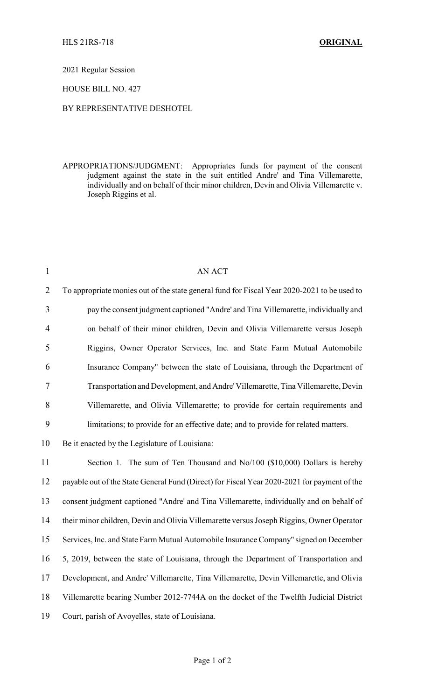2021 Regular Session

HOUSE BILL NO. 427

## BY REPRESENTATIVE DESHOTEL

APPROPRIATIONS/JUDGMENT: Appropriates funds for payment of the consent judgment against the state in the suit entitled Andre' and Tina Villemarette, individually and on behalf of their minor children, Devin and Olivia Villemarette v. Joseph Riggins et al.

| $\mathbf{1}$   | AN ACT                                                                                      |
|----------------|---------------------------------------------------------------------------------------------|
| $\overline{2}$ | To appropriate monies out of the state general fund for Fiscal Year 2020-2021 to be used to |
| 3              | pay the consent judgment captioned "Andre' and Tina Villemarette, individually and          |
| $\overline{4}$ | on behalf of their minor children, Devin and Olivia Villemarette versus Joseph              |
| 5              | Riggins, Owner Operator Services, Inc. and State Farm Mutual Automobile                     |
| 6              | Insurance Company" between the state of Louisiana, through the Department of                |
| 7              | Transportation and Development, and Andre' Villemarette, Tina Villemarette, Devin           |
| 8              | Villemarette, and Olivia Villemarette; to provide for certain requirements and              |
| 9              | limitations; to provide for an effective date; and to provide for related matters.          |
| 10             | Be it enacted by the Legislature of Louisiana:                                              |
| 11             | Section 1. The sum of Ten Thousand and No/100 (\$10,000) Dollars is hereby                  |
| 12             | payable out of the State General Fund (Direct) for Fiscal Year 2020-2021 for payment of the |
| 13             | consent judgment captioned "Andre' and Tina Villemarette, individually and on behalf of     |
| 14             | their minor children, Devin and Olivia Villemarette versus Joseph Riggins, Owner Operator   |
| 15             | Services, Inc. and State Farm Mutual Automobile Insurance Company" signed on December       |
| 16             | 5, 2019, between the state of Louisiana, through the Department of Transportation and       |
| 17             | Development, and Andre' Villemarette, Tina Villemarette, Devin Villemarette, and Olivia     |
| 18             | Villemarette bearing Number 2012-7744A on the docket of the Twelfth Judicial District       |
| 19             | Court, parish of Avoyelles, state of Louisiana.                                             |
|                |                                                                                             |